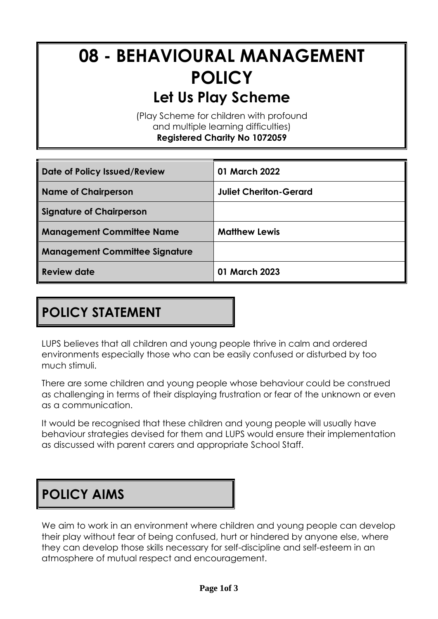# **08 - BEHAVIOURAL MANAGEMENT POLICY Let Us Play Scheme**

(Play Scheme for children with profound and multiple learning difficulties) **Registered Charity No 1072059**

| Date of Policy Issued/Review          | 01 March 2022                 |
|---------------------------------------|-------------------------------|
| <b>Name of Chairperson</b>            | <b>Juliet Cheriton-Gerard</b> |
| <b>Signature of Chairperson</b>       |                               |
| <b>Management Committee Name</b>      | <b>Matthew Lewis</b>          |
| <b>Management Committee Signature</b> |                               |
| <b>Review date</b>                    | 01 March 2023                 |

# **POLICY STATEMENT**

LUPS believes that all children and young people thrive in calm and ordered environments especially those who can be easily confused or disturbed by too much stimuli.

There are some children and young people whose behaviour could be construed as challenging in terms of their displaying frustration or fear of the unknown or even as a communication.

It would be recognised that these children and young people will usually have behaviour strategies devised for them and LUPS would ensure their implementation as discussed with parent carers and appropriate School Staff.

### **POLICY AIMS**

We aim to work in an environment where children and young people can develop their play without fear of being confused, hurt or hindered by anyone else, where they can develop those skills necessary for self-discipline and self-esteem in an atmosphere of mutual respect and encouragement.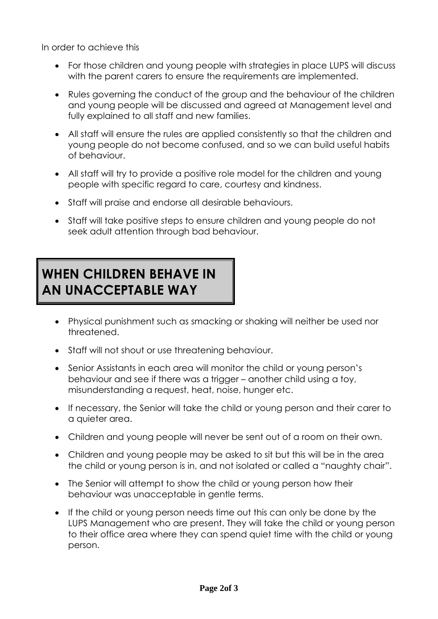In order to achieve this

- For those children and young people with strategies in place LUPS will discuss with the parent carers to ensure the requirements are implemented.
- Rules governing the conduct of the group and the behaviour of the children and young people will be discussed and agreed at Management level and fully explained to all staff and new families.
- All staff will ensure the rules are applied consistently so that the children and young people do not become confused, and so we can build useful habits of behaviour.
- All staff will try to provide a positive role model for the children and young people with specific regard to care, courtesy and kindness.
- Staff will praise and endorse all desirable behaviours.
- Staff will take positive steps to ensure children and young people do not seek adult attention through bad behaviour.

#### **WHEN CHILDREN BEHAVE IN AN UNACCEPTABLE WAY**

- Physical punishment such as smacking or shaking will neither be used nor threatened.
- Staff will not shout or use threatening behaviour.
- Senior Assistants in each area will monitor the child or young person's behaviour and see if there was a trigger – another child using a toy, misunderstanding a request, heat, noise, hunger etc.
- If necessary, the Senior will take the child or young person and their carer to a quieter area.
- Children and young people will never be sent out of a room on their own.
- Children and young people may be asked to sit but this will be in the area the child or young person is in, and not isolated or called a "naughty chair".
- The Senior will attempt to show the child or young person how their behaviour was unacceptable in gentle terms.
- If the child or young person needs time out this can only be done by the LUPS Management who are present. They will take the child or young person to their office area where they can spend quiet time with the child or young person.